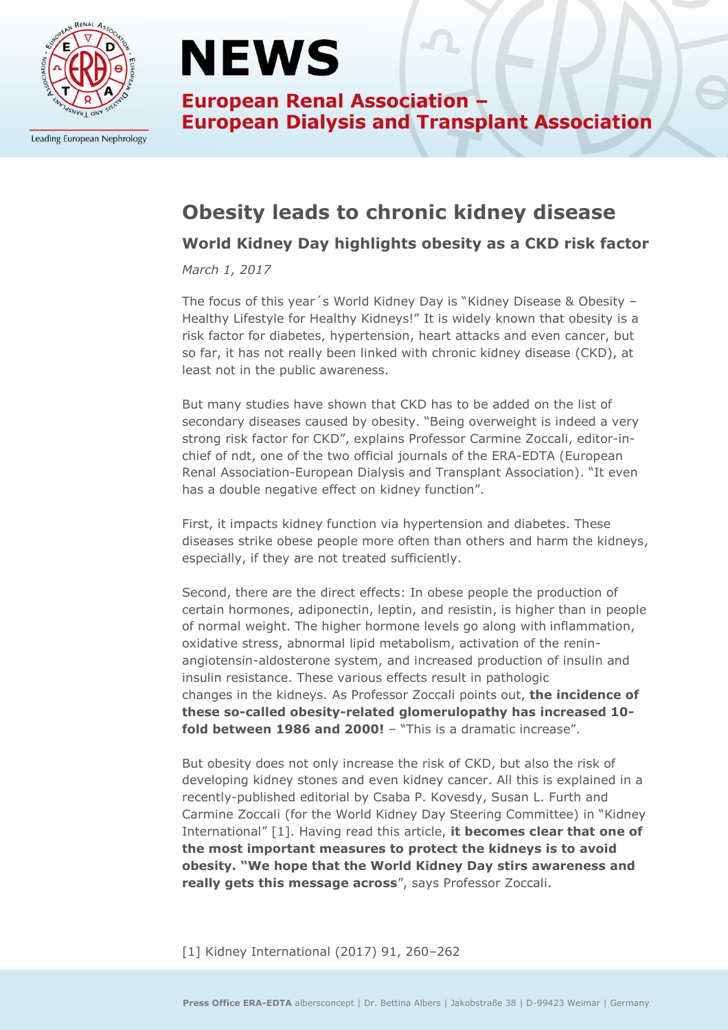

Leading European Nephrology

## **NEWS**

**European Renal Association -European Dialysis and Transplant Association** 

### **Obesity leads to chronic kidney disease**

#### **World Kidney Day highlights obesity as a CKD risk factor**

*March 1, 2017*

The focus of this year´s World Kidney Day is "Kidney Disease & Obesity – Healthy Lifestyle for Healthy Kidneys!" It is widely known that obesity is a risk factor for diabetes, hypertension, heart attacks and even cancer, but so far, it has not really been linked with chronic kidney disease (CKD), at least not in the public awareness.

But many studies have shown that CKD has to be added on the list of secondary diseases caused by obesity. "Being overweight is indeed a very strong risk factor for CKD", explains Professor Carmine Zoccali, editor-inchief of ndt, one of the two official journals of the ERA-EDTA (European Renal Association-European Dialysis and Transplant Association). "It even has a double negative effect on kidney function".

First, it impacts kidney function via hypertension and diabetes. These diseases strike obese people more often than others and harm the kidneys, especially, if they are not treated sufficiently.

Second, there are the direct effects: In obese people the production of certain hormones, adiponectin, leptin, and resistin, is higher than in people of normal weight. The higher hormone levels go along with inflammation, oxidative stress, abnormal lipid metabolism, activation of the reninangiotensin-aldosterone system, and increased production of insulin and insulin resistance. These various effects result in pathologic changes in the kidneys. As Professor Zoccali points out, **the incidence of these so-called obesity-related glomerulopathy has increased 10 fold between 1986 and 2000!** – "This is a dramatic increase".

But obesity does not only increase the risk of CKD, but also the risk of developing kidney stones and even kidney cancer. All this is explained in a recently-published editorial by Csaba P. Kovesdy, Susan L. Furth and Carmine Zoccali (for the World Kidney Day Steering Committee) in "Kidney International" [1]. Having read this article, **it becomes clear that one of the most important measures to protect the kidneys is to avoid obesity. "We hope that the World Kidney Day stirs awareness and really gets this message across**", says Professor Zoccali.

[1] Kidney International (2017) 91, 260–262